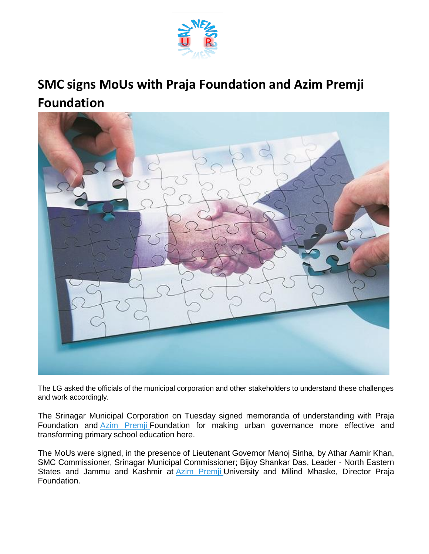

## **SMC signs MoUs with Praja Foundation and Azim Premji Foundation**



The LG asked the officials of the municipal corporation and other stakeholders to understand these challenges and work accordingly.

The Srinagar Municipal Corporation on Tuesday signed memoranda of understanding with Praja Foundation and **[Azim Premji](https://www.business-standard.com/topic/azim-premji) Foundation for making urban governance more effective and** transforming primary school education here.

The MoUs were signed, in the presence of Lieutenant Governor Manoj Sinha, by Athar Aamir Khan, SMC Commissioner, Srinagar Municipal Commissioner; Bijoy Shankar Das, Leader - North Eastern States and Jammu and Kashmir at **[Azim Premji](https://www.business-standard.com/topic/azim-premji) University and Milind Mhaske**, Director Praja Foundation.